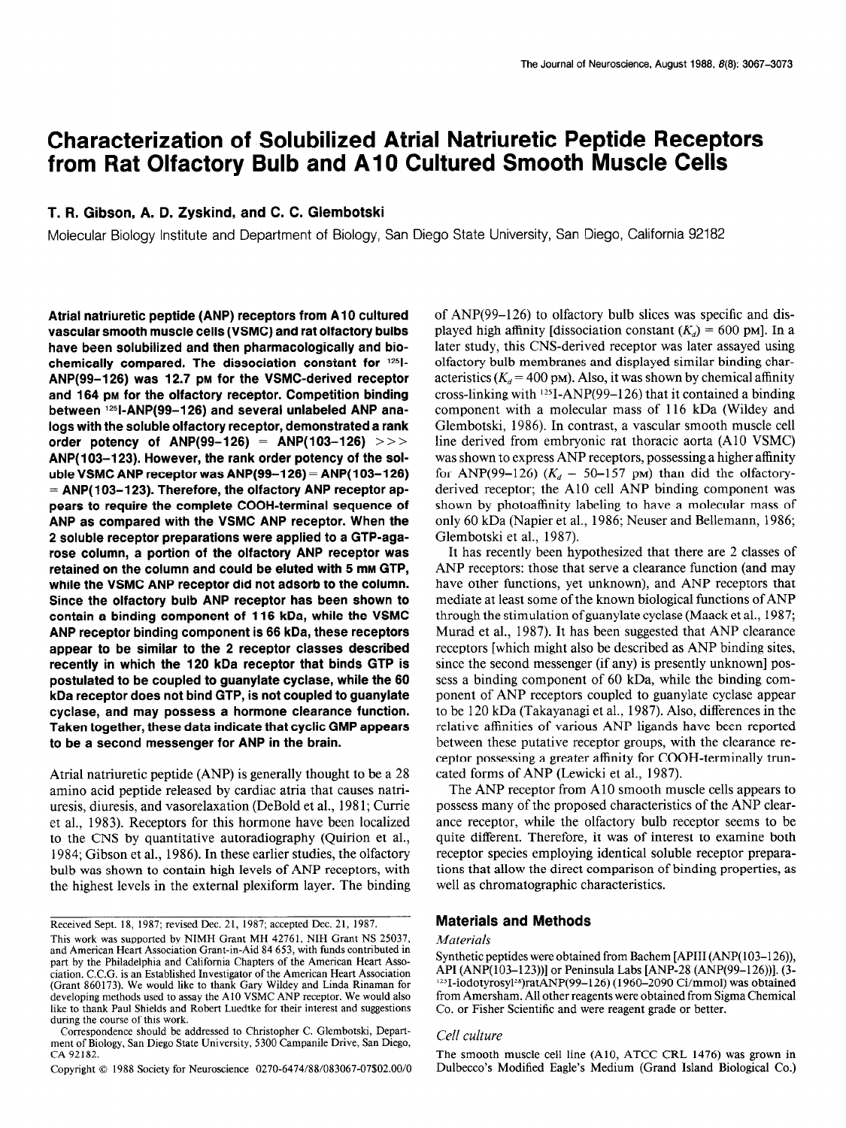# Characterization of Solubilized Atrial Natriuretic Peptide Receptors from Rat Olfactory Bulb and A10 Cultured Smooth Muscle Cells

### T. R. Gibson, A. D. Zyskind, and C. C. Glembotski

Moiecular Biology Institute and Department of Biology, San Diego State University, San Diego, California 92182

Atrial natriuretic peptide (ANP) receptors from A10 cultured vascular smooth muscle cells (VSMC) and rat olfactory bulbs have been solubilized and then pharmacologically and biochemically compared. The dissociation constant for  $125$ -ANP(99-126) was 12.7 PM for the VSMC-derived receptor and 164 pm for the olfactory receptor. Competition binding between 1251-ANP(99-126) and several unlabeled ANP analogs with the soluble olfactory receptor, demonstrated a rank order potency of ANP(99-126) = ANP(103-126) >>> ANP(103-123). However, the rank order potency of the soluble VSMC ANP receptor was  $AND(99-126) = AND(103-126)$  $=$  ANP(103-123). Therefore, the olfactory ANP receptor appears to require the complete COOH-terminal sequence of ANP as compared with the VSMC ANP receptor. When the 2 soluble receptor preparations were applied to a GTP-agarose column, a portion of the olfactory ANP receptor was retained on the column and could be eluted with 5 mm GTP, while the VSMC ANP receptor did not adsorb to the column. Since the olfactory bulb ANP receptor has been shown to contain a binding component of 116 kDa, while the VSMC ANP receptor binding component is 66 kDa, these receptors appear to be similar to the 2 receptor classes described recently in which the 120 kDa receptor that binds GTP is postulated to be coupled to guanylate cyclase, while the 60 kDa receptor does not bind GTP, is not coupled to guanylate cyclase, and may possess a hormone clearance function. Taken together, these data indicate that cyclic GMP appears to be a second messenger for ANP in the brain.

Atria1 natriuretic peptide (ANP) is generally thought to be a 28 Amiamino acid peptide  $(AN)$  is generally model to be a 26 amino acid pepude released by cardiac atria that causes hairuresis, diuresis, and vasorelaxation (DeBold et al., 1981; Currie et al., 1983). Receptors for this hormone have been localized to the CNS by quantitative autoradiography (Quirion et al., 1984; Gibson et al., 1986). In these earlier studies, the olfactory bulb was shown to contain high levels of ANP receptors, with the highest levels in the external plexiform layer. The binding

of ANP(99-126) to olfactory bulb slices was specific and displayed high affinity [dissociation constant  $(K_d) = 600$  pm]. In a later study, this CNS-derived receptor was later assayed using olfactory bulb membranes and displayed similar binding characteristics ( $K_d$  = 400 pm). Also, it was shown by chemical affinity cross-linking with  $^{125}I-ANP(99-126)$  that it contained a binding component with a molecular mass of 116 kDa (Wildey and Glembotski, 1986). In contrast, a vascular smooth muscle cell line derived from embryonic rat thoracic aorta (A10 VSMC) was shown to express ANP receptors, possessing a higher affinity for ANP(99-126) ( $K_d = 50$ -157 pm) than did the olfactoryderived receptor; the A10 cell ANP binding component was shown by photoaffinity labeling to have a molecular mass of only 60 kDa (Napier et al., 1986; Neuser and Bellemann, 1986; Glembotski et al., 1987).

It has recently been hypothesized that there are 2 classes of ANP receptors: those that serve a clearance function (and may have other functions, yet unknown), and ANP receptors that mediate at least some of the known biological functions of ANP through the stimulation ofguanylate cyclase (Maack et al., 1987; Murad et al., 1987). It has been suggested that ANP clearance receptors [which might also be described as ANP binding sites, since the second messenger (if any) is presently unknown] possess a binding component of 60 kDa, while the binding component of ANP receptors coupled to guanylate cyclase appear to be 120 kDa (Takayanagi et al., 1987). Also, differences in the relative affinities of various ANP ligands have been reported between these putative receptor groups, with the clearance reperson these putative receptor groups, while the treatment receptor possessing a greater allinity for COO. cated forms of ANP (Lewicki et al., 1987).<br>The ANP receptor from A10 smooth muscle cells appears to

possess the proposed characteristics of the proposed characteristics of the ANP clearpossess many of the proposed characteristics of the ANP clearance receptor, while the olfactory bulb receptor seems to be quite different. Therefore, it was of interest to examine both receptor species employing identical soluble receptor preparations that allow the direct comparison of binding properties, as well as chromatographic characteristics.

#### Materials and Methods

#### **Materials**  $M$ aterials were obtained from Bachem  $M$

## $\mathcal{L}_{\text{eff}}$  culture (Alo, ATCC caloring in  $\mathcal{L}_{\text{eff}}$ ) was grown in  $\mathcal{L}_{\text{eff}}$

The smooth muscle cell line (A10, ATCC CRL 1476) was grown in

Received Sept. 18, 1987; revised Dec. 21, 1987; accepted Dec. 21, 1987.  $\pi$ eceived sept. 16, 1967, Ievised Dec. 21, 1967, accepted Dec. 21, 1967,

This work was supported by NIMH Grant MH 42761, NIH Grant NS 25037, and American Heart Association Grant-in-Aid 84 653, with funds contributed in part by the Philadelphia and California Chapters of the American Heart Association. C.C.G. is an Established Investigator of the American Heart Association (Grant 860173). We would like to thank Gary Wildey and Linda Rinaman for developing methods used to assay the A10 VSMC ANP receptor. We would also like to thank Paul Shields and Robert Luedtke for their interest and suggestions during the course of this work.

Correspondence should be addressed to Christopher C. Glembotski, Department of Biology, San Diego State University, 5300 Campanile Drive, San Diego,  $CA\,92182.$ 

Copyright © 1988 Society for Neuroscience 0270-6474/88/083067-07\$02.00/0

Synthetic peptides were obtained from Bachem [APIII (ANP(103–126)), API (ANP(103-123))] or Peninsula Labs [ANP-28 (ANP(99-126))]. (3- $125$ I-iodotyrosyl<sup>28</sup>)ratANP(99-126) (1960-2090 Ci/mmol) was obtained from Amersham. All other reagents were obtained from Sigma Chemical Co. or Fisher Scientific and were reagent grade or better.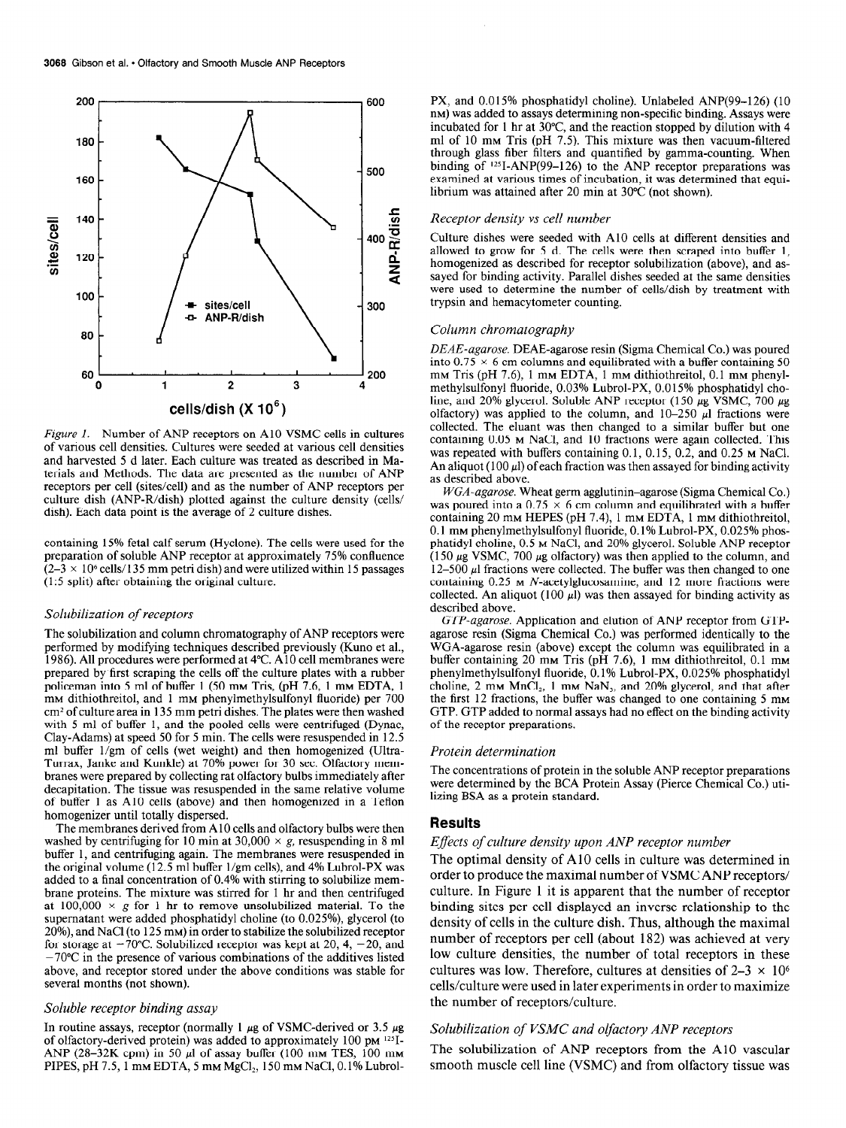

Figure 1. Number of ANP receptors on A10 VSMC cells in cultures of various cell densities. Cultures were seeded at various cell densities and harvested 5 d later. Each culture was treated as described in Materials and Methods. The data are presented as the number of ANP receptors per cell (sites/cell) and as the number of ANP receptors per culture dish (ANP-R/dish) plotted against the culture density (cells/ dish). Each data point is the average of 2 culture dishes.

containing 15% fetal calf serum (Hyclone). The cells were used for the preparation of soluble ANP receptor at approximately 75% confluence  $(2-3 \times 10^{6}$  cells/135 mm petri dish) and were utilized within 15 passages (1:5 split) after obtaining the original culture.

#### Solubilization of receptors

 $\mathbf{T}$ he solubilization and column chromatography of ANP receptors were performed by modifying techniques described previously (Kuno et al., 1986). All procedures were performed at 4°C. A10 cell membranes were  $p_{\text{ref}}$  first screenes with performed at  $\pm$  c. A rubber incidently with a rubber plates with a rubber of the culture plates  $p_{\text{ref}}$ prepared by first scraping the cells off the culture plates with a rubber policeman into 5 ml of buffer 1 (50 mm Tris, (pH 7.6, 1 mm EDTA, 1) mm dithiothreitol, and 1 mm phenylmethylsulfonyl fluoride) per 700  $cm<sup>2</sup>$  of culture area in 135 mm petri dishes. The plates were then washed with 5 ml of buffer 1, and the pooled cells were centrifuged (Dynac, Clay-Adams) at speed 50 for 5 min. The cells were resuspended in 12.5 ml buffer 1/gm of cells (wet weight) and then homogenized (Ultra-Turrax, Janke and Kunkle) at 70% power for 30 sec. Olfactory membranes were prepared by collecting rat olfactory bulbs immediately after decapitation. The tissue was resuspended in the same relative volume of buffer 1 as A10 cells (above) and then homogenized in a Teflon homogenizer until totally dispersed.

The membranes derived from A10 cells and olfactory bulbs were then washed by centrifuging for 10 min at 30,000  $\times$  g, resuspending in 8 ml buffer 1, and centrifuging again. The membranes were resuspended in the original volume ( $12.5$  ml buffer  $1/\text{gm}$  cells), and 4% Lubrol-PX was added to a final concentration of  $0.4\%$  with stirring to solubilize membrane proteins. The mixture was stirred for 1 hr and then centrifuged at 100,000  $\times$  g for 1 hr to remove unsolubilized material. To the supernatant were added phosphatidyl choline (to 0.025%), glycerol (to 20%), and NaCl (to 125 mm) in order to stabilize the solubilized receptor for storage at  $-70^{\circ}$ C. Solubilized receptor was kept at 20, 4,  $-20$ , and  $-70^{\circ}$ C in the presence of various combinations of the additives listed above, and receptor stored under the above conditions was stable for several months (not shown). Soluble receptor binding assay

## $S$ <sup>orman</sup> routine  $\alpha$ <sup>2</sup> passage  $\alpha$

In routine assays, receptor (normally 1  $\mu$ g of VSMC-derived or 3.5  $\mu$ g of olfactory-derived protein) was added to approximately 100 pm<sup>125</sup>I-ANP (28-32K cpm) in 50  $\mu$ l of assay buffer (100 mm TES, 100 mm PIPES, pH 7.5, 1 mm EDTA, 5 mm  $MgCl_2$ , 150 mm NaCl, 0.1% Lubrol-

PX, and 0.015% phosphatidyl choline). Unlabeled ANP(99-126) (10 nm) was added to assays determining non-specific binding. Assays were incubated for 1 hr at  $30^{\circ}$ C, and the reaction stopped by dilution with 4 ml of 10 mm Tris (pH 7.5). This mixture was then vacuum-filtered through glass fiber filters and quantified by gamma-counting. When binding of  $125I-ANP(99-126)$  to the ANP receptor preparations was examined at various times of incubation, it was determined that equilibrium was attained after 20 min at 30°C (not shown).

#### Receptor density vs cell number

Culture dishes were seeded with A10 cells at different densities and allowed to grow for 5 d. The cells were then scraped into buffer 1, homogenized as described for receptor solubilization (above), and assayed for binding activity. Parallel dishes seeded at the same densities were used to determine the number of cells/dish by treatment with trypsin and hemacytometer counting.

#### Column chromatography

DEAE-agarose. DEAE-agarose resin (Sigma Chemical Co.) was poured into  $0.75 \times 6$  cm columns and equilibrated with a buffer containing 50 mm Tris (pH 7.6), 1 mm EDTA, 1 mm dithiothreitol, 0.1 mm phenylmethylsulfonyl fluoride, 0.03% Lubrol-PX, 0.0 15% phosphatidyl choline, and 20% glycerol. Soluble ANP receptor (150  $\mu$ g VSMC, 700  $\mu$ g olfactory) was applied to the column, and  $10-250 \mu l$  fractions were collected. The eluant was then changed to a similar buffer but one containing 0.05 M NaCl, and 10 fractions were again collected. This was repeated with buffers containing 0.1, 0.15, 0.2, and 0.25 M NaCl. An aliquot (100  $\mu$ ) of each fraction was then assayed for binding activity as described above.

WGA-agarose. Wheat germ agglutinin-agarose (Sigma Chemical Co.) was poured into a 0.75  $\times$  6 cm column and equilibrated with a buffer containing 20 mm HEPES (pH 7.4), 1 mm EDTA, 1 mm dithiothreitol, 0.1 mM phenylmethylsulfonyl fluoride, 0.1% Lubrol-PX, 0.025% phosphatidyl choline, 0.5 M NaCl, and 20% glycerol. Soluble ANP receptor (150  $\mu$ g VSMC, 700  $\mu$ g olfactory) was then applied to the column, and  $12-500$   $\mu$  fractions was ordered. The buffer was then changed to one.  $\alpha$  500  $\mu$  matrices were concered. The bunch was men enanged to one containing 0.25 m *N*-acetylglucosamine, and 12 more fractions were collected. An aliquot (100  $\mu$ ) was then assayed for binding activity as described above.

GTP-agarose. Application and elution of ANP receptor from GTPagarose resin (Sigma Chemical Co.) was performed identically to the  $\alpha_{\text{grav}}$  agarose resin (alguna enemicar eo.) was performed included in alle  $b_{\text{max}}$  against fish (above) except the column was equilibrated in a punct containing 20 mm This (pH 7.0), T mm difficultiertor, 0.1 mm phenylmethylsulfonyl fluoride, 0.1% Lubrol-PX, 0.025% phosphatidyl choline,  $2 \text{ mm } \text{MnCl}_2$ , 1 mm  $\text{NaN}_3$ , and  $20\%$  glycerol, and that after the first 12 fractions, the buffer was changed to one containing 5 mm GTP. GTP added to normal assays had no effect on the binding activity of the receptor preparations.

#### Protein determination

 $T$  concentrations of protein in the solutions of protein in the solutions  $T$  receptor  $\mathcal{P}$ The concentrations of protein in the soluble ANP receptor preparation were determined by the BCA Protein Assay (Pierce Chemical Co.) utilizing BSA as a protein standard.

#### Results

#### Effects of culture density upon ANP receptor number  $T_{\text{m}}$  of an all density of  $\alpha$  cells in cells in contract

The optimal density of ATO cens in curture was determined to order to produce the maximal number of VSMC ANP receptors/ culture. In Figure 1 it is apparent that the number of receptor binding sites per cell displayed an inverse relationship to the density of cells in the culture dish. Thus, although the maximal number of receptors per cell (about 182) was achieved at very low culture densities, the number of total receptors in these cultures was low. Therefore, cultures at densities of  $2-3 \times 10^6$ cells/culture were used in later experiments in order to maximize the number of receptors/culture.

### $\mathbb{R}$  solution of  $\mathbb{R}$  and oligarithmic and oligarithmic receptors  $\mathbb{R}$  $\sim$  solution of Andre and  $\epsilon$  shows from the Andre Andre Andre Andre Andre Andre Andre Andre Andre Andre Andre Andre Andre Andre Andre Andre Andre Andre Andre Andre Andre Andre Andre Andre Andre Andre Andre Andre Andre

The solubilization of ANP receptors from the A10 vascular smooth muscle cell line (VSMC) and from olfactory tissue was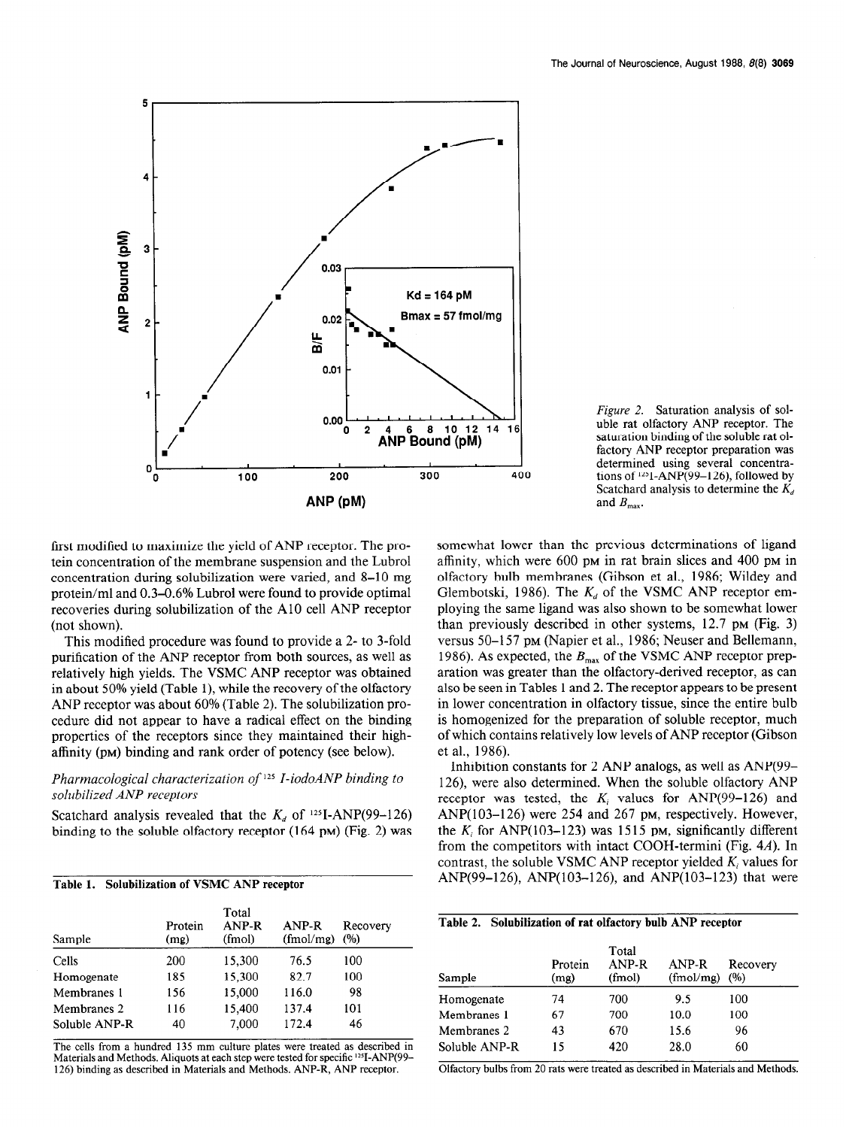

Figure 2. Saturation analysis of soluble rat olfactory ANP receptor. The saturation binding of the soluble rat olfactory ANP receptor preparation was determined using several concentrations of  $125I$ ,  $\triangle NP(99-126)$ , followed by Scatchard analysis to determine the  $K_d$ and  $B_{\text{max}}$ .

first modified to maximize the yield of ANP receptor. The protein concentration of the membrane suspension and the Lubrol concentration during solubilization were varied, and 8-10 mg protein/ml and 0.3-0.6% Lubrol were found to provide optimal recoveries during solubilization of the A10 cell ANP receptor (not shown).

This modified procedure was found to provide a 2- to 3-fold purification of the ANP receptor from both sources, as well as relatively high yields. The VSMC ANP receptor was obtained in about 50% yield (Table l), while the recovery of the olfactory ANP receptor was about 60% (Table 2). The solubilization procedure did not appear to have a radical effect on the binding properties of the receptors since they maintained their highaffinity (PM) binding and rank order of potency (see below).

### Pharmacological characterization of 125 I-iodoANP binding to solubilized ANP receptors

Scatchard analysis revealed that the Kd of lZSI-ANP(99-126)  $\text{B}$  binding the solution of the solution  $\mathbf{A}_d$  of  $\mathbf{B}$  PMNI (55–120)

| Table 1. Solubilization of VSMC ANP receptor |  |  |
|----------------------------------------------|--|--|

| Sample        | Protein<br>(mg) | Total<br>ANP-R<br>(fmol) | ANP-R<br>(fmol/mg) | Recovery<br>(%) |
|---------------|-----------------|--------------------------|--------------------|-----------------|
| Cells         | 200             | 15,300                   | 76.5               | 100             |
| Homogenate    | 185             | 15,300                   | 82.7               | 100             |
| Membranes 1   | 156             | 15,000                   | 116.0              | 98              |
| Membranes 2   | 116             | 15,400                   | 137.4              | 101             |
| Soluble ANP-R | 40              | 7,000                    | 172.4              | 46              |

The cells from a hundred 135 mm culture plates were treated as described in Materials and Methods. Aliquots at each step were tested for specific <sup>125</sup>I-ANP(99-126) binding as described in Materials and Methods. ANP-R, ANP receptor.

somewhat lower than the previous determinations of ligand affinity, which were 600 pm in rat brain slices and 400 pm in olfactory bulb membranes (Gibson et al., 1986; Wildey and Glembotski, 1986). The  $K_d$  of the VSMC ANP receptor employing the same ligand was also shown to be somewhat lower than previously described in other systems, 12.7 PM (Fig. 3) versus 50–157 pm (Napier et al., 1986; Neuser and Bellemann, 1986). As expected, the  $B_{\text{max}}$  of the VSMC ANP receptor preparation was greater than the olfactory-derived receptor, as can also be seen in Tables 1 and 2. The receptor appears to be present in lower concentration in olfactory tissue, since the entire bulb is homogenized for the preparation of soluble receptor, much is nonogenized for the preparation of soluble receptor, much et al., 1986).<br>Die 1986

Inhibition constants for 2 ANP analogs, as well as ANP(99- 126) were also determined. When the soluble olfactory ANP  $r_{120}$ , were also determined, when the solutive original ANP receptor was tested, the  $A_i$  values for  $A_i$   $\gamma$   $\gamma$   $\gamma$   $\gamma$  and  $A_i$   $\gamma$   $\gamma$   $\gamma$   $\gamma$   $\gamma$ ANP( $103-126$ ) were 254 and 267 pm, respectively. However, the  $K_i$  for ANP(103-123) was 1515 pm, significantly different from the competitors with intact COOH-termini (Fig.  $4A$ ). In contrast, the soluble VSMC ANP receptor yielded  $K_i$  values for ANP(99–126), ANP(103–126), and ANP(103–123) that were

| Sample        | Protein<br>(mg) | Total<br>ANP-R<br>(fmol) | ANP-R<br>(fmol/mg) | Recovery<br>(%) |
|---------------|-----------------|--------------------------|--------------------|-----------------|
| Homogenate    | 74              | 700                      | 9.5                | 100             |
| Membranes 1   | 67              | 700                      | 10.0               | 100             |
| Membranes 2   | 43              | 670                      | 15.6               | 96              |
| Soluble ANP-R | 15              | 420                      | 28.0               | 60              |

Table 2. Solubilization of rat olfactory bulb ANP receptor

Olfactory bulbs from 20 rats were treated as described in Materials and Methods.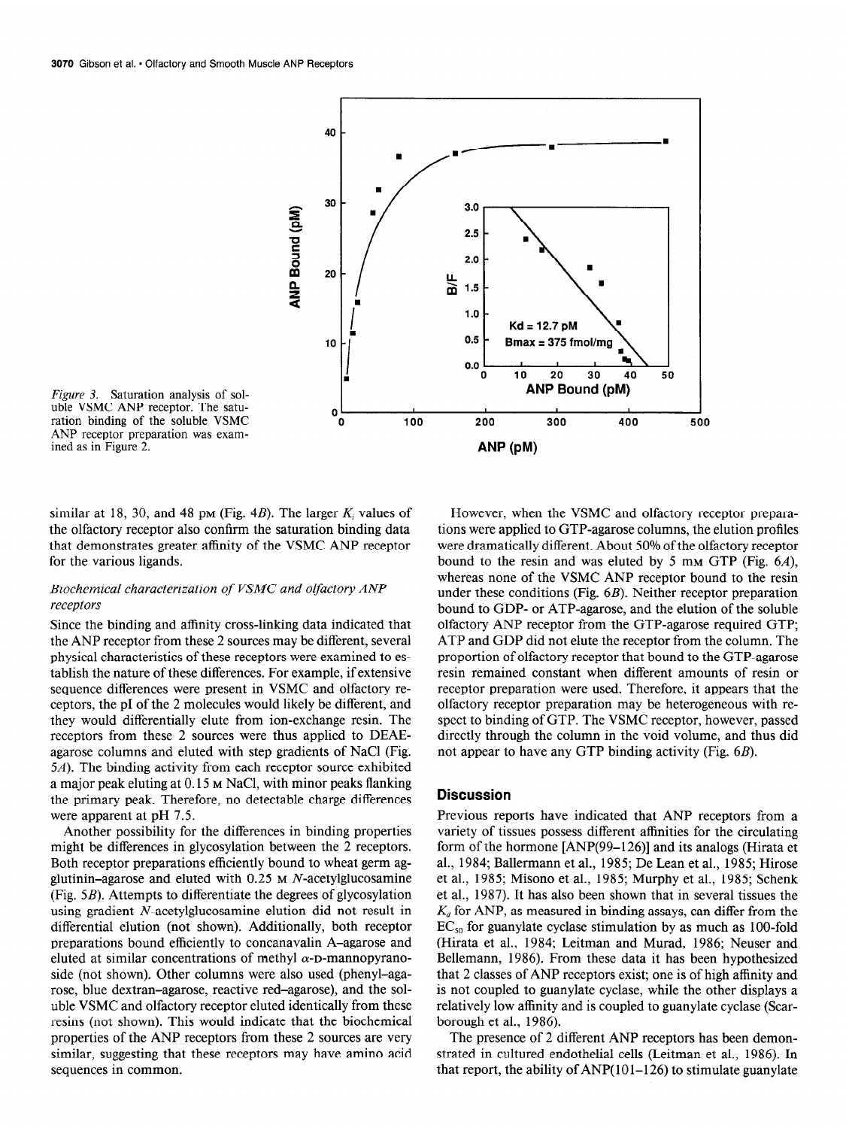

Figure 3. Saturation analysis of solngare 5. Saturation analysis of solution<br>which is not a saturation binding of the soluble VSMC 0 ration binding of the soluble VSMC<br>ANP receptor preparation was examined as in Figure 2.

similar at 18, 30, and 48 pm (Fig. 4B). The larger  $K_i$  values of the olfactory receptor also confirm the saturation binding data that demonstrates greater affinity of the VSMC ANP receptor for the various ligands.

### Biochemical characterization of VSMC and olfactory ANP receptors

Since the binding and affinity cross-linking data indicated that the ANP receptor from these 2 sources may be different, several physical characteristics of these receptors were examined to establish the nature of these differences. For example, if extensive sequence differences were present in VSMC and olfactory receptors, the p1 of the 2 molecules would likely be different, and the years, the protring  $\frac{1}{2}$  indicates would fix  $\frac{1}{2}$  or exchange resin. The receptors from the 2 sources were thus applied to DEAEreceptors from these 2 sources were thus applied to DEAE-<br>agarose columns and eluted with step gradients of NaCl (Fig.  $\frac{4}{5}$  . The binding and characteristic superiorities of the exhibited values of  $\frac{1}{10}$  $an$ , the omenig activity from each receptor source exhibited a major peak eluting at 0.15 m NaCl, with minor peaks flanking the primary peak. Therefore, no detectable charge differences were apparent at pH 7.5.  $\alpha$  apparent at pri  $\alpha$ .

Amourer possibility for the unferences in binding properties. might be differences in glycosylation between the 2 receptors. Both receptor preparations efficiently bound to wheat germ agglutinin-agarose and eluted with  $0.25$  M N-acetylglucosamine (Fig.  $5B$ ). Attempts to differentiate the degrees of glycosylation using gradient N-acetylglucosamine elution did not result in differential elution (not shown). Additionally, both receptor preparations bound efficiently to concanavalin A-agarose and eluted at similar concentrations of methyl  $\alpha$ -D-mannopyranoside (not shown). Other columns were also used (phenyl-agarose, blue dextran-agarose, reactive red-agarose), and the soluble VSMC and olfactory receptor eluted identically from these resins (not shown). This would indicate that the biochemical properties of the ANP receptors from these 2 sources are very similar, suggesting that these receptors may have amino acid sequences in common.

However, when the VSMC and olfactory receptor preparations were applied to GTP-agarose columns, the elution profiles were dramatically different. About 50% of the olfactory receptor bound to the resin and was eluted by 5 mm GTP (Fig.  $6A$ ), whereas none of the VSMC ANP receptor bound to the resin under these conditions (Fig. 6B). Neither receptor preparation bound to GDP- or ATP-agarose, and the elution of the soluble olfactory ANP receptor from the GTP-agarose required GTP; ATP and GDP did not elute the receptor from the column. The proportion of olfactory receptor that bound to the GTP-agarose resin remained constant when different amounts of resin or receptor preparation were used. Therefore, it appears that the olfactory receptor preparation may be heterogeneous with reonacioly receptor preparation may be necessited with respect to omang of STT. The void veceptor, however, passed directly through the column in the void volume, and thus did not appear to have any GTP binding activity (Fig.  $6B$ ).

### **Discussion**

Previous reports have indicated that ANP receptors from a rievious reports have indicated that AINT receptors from a variety of tissues possess different affinities for the circulating form of the hormone  $[ANP(99-126)]$  and its analogs (Hirata et al., 1984; Ballermann et al., 1985; De Lean et al., 1985; Hirose et al., 1985; Misono et al., 1985; Murphy et al., 1985; Schenk et al., 1987). It has also been shown that in several tissues the  $K_d$  for ANP, as measured in binding assays, can differ from the  $EC<sub>50</sub>$  for guanylate cyclase stimulation by as much as 100-fold (Hirata et al., 1984; Leitman and Murad, 1986; Neuser and Bellemann, 1986). From these data it has been hypothesized that 2 classes of ANP receptors exist; one is of high affinity and is not coupled to guanylate cyclase, while the other displays a relatively low affinity and is coupled to guanylate cyclase (Scarborough et al., 1986).

The presence of 2 different ANP receptors has been demonstrated in cultured endothelial cells (Leitman et al., 1986). In that report, the ability of  $AND(101-126)$  to stimulate guanylate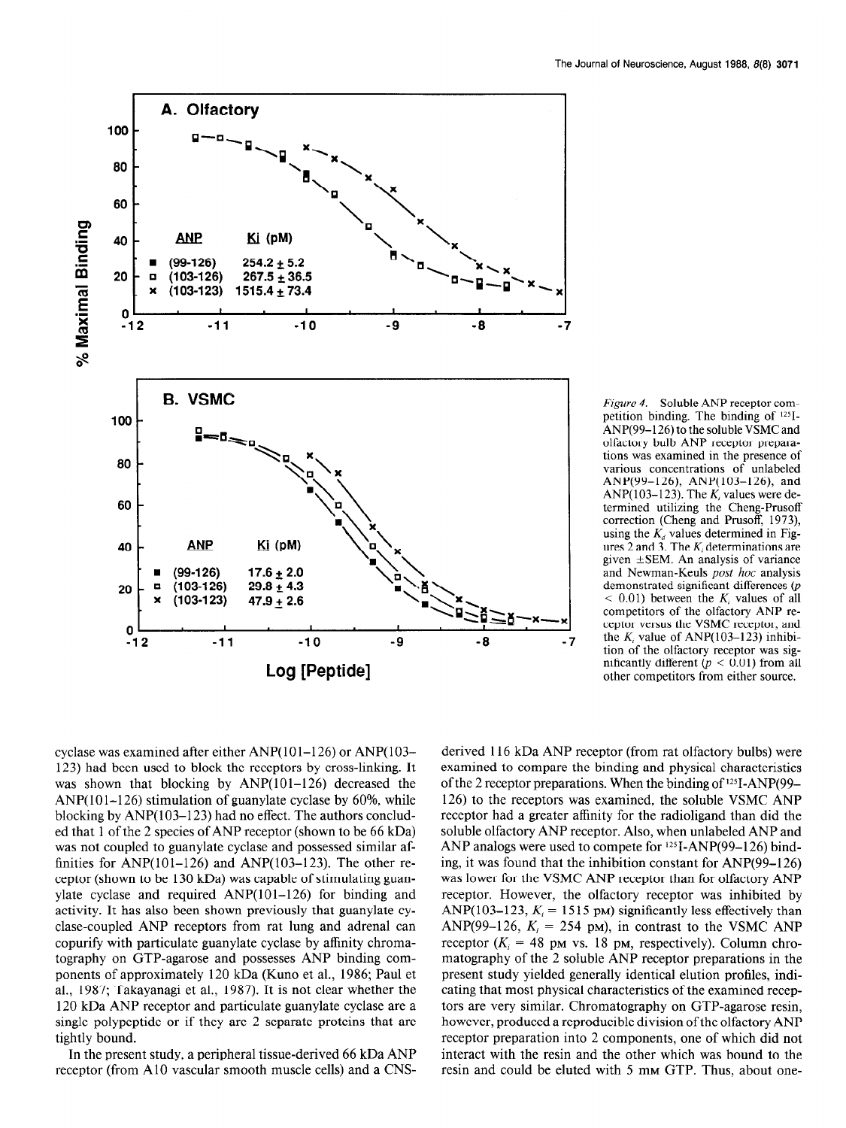

Figure 4. Soluble ANP receptor competition binding. The binding of  $125$ I-ANP(99-126) to the soluble VSMC and olfactory bulb ANP receptor preparations was examined in the presence of various concentrations of unlabeled AND(99-126) AND(103-126) and  $\Lambda$ NP(103-123). The K values were determined utilizing the Cheng-Prusoff correction (Chong and Drugoff, 1973) correction (Cheng and Frason, 1775) using the  $K_d$  values determined in Tiggiven  $\mathcal{L}$  and  $\mathcal{L}$ . The  $\Lambda_i$  determinations are and Newman-Keuls post hoc analysis and recwinan-Keurs  $pos \textit{not}$  analysis demonstrated significant differences  $(p < 0.01)$  between the  $K_i$  values of all competitors of the olfactory ANP recompetitors of the onactory *The TC*teptor versus the VSIMC receptor, and  $K = 1 - 6.43 \text{ m} \cdot 123$ . the  $K_i$  value of ANP(103–123) inhibition of the olfactory receptor was significantly different  $(p < 0.01)$  from all<br>other competitors from either source.

cyclase was examined after either  $ANP(101-126)$  or  $ANP(103 120$ ) had been used to be receptors by close to be receptors by contact the receptors by contact the receptors  $11 + 11 = 11$  $125$ ) had been used to block the receptors by Cross-hinking. It was shown that blocking by  $ANP(101-126)$  decreased the ANP( $101-126$ ) stimulation of guanylate cyclase by  $60\%$ , while blocking by  $ANP(103-123)$  had no effect. The authors concluded that 1 of the 2 species of ANP receptor (shown to be 66 kDa) was not coupled to guanylate cyclase and possessed similar affinities for ANP $(101-126)$  and ANP $(103-123)$ . The other receptor (shown to be  $130 \text{ kDa}$ ) was capable of stimulating guanylate cyclase and required  $AND(101-126)$  for binding and activity. It has also been shown previously that guanylate cyclase-coupled ANP receptors from rat lung and adrenal can copurify with particulate guanylate cyclase by affinity chromatography on GTP-agarose and possesses ANP binding components of approximately 120 kDa (Kuno et al., 1986; Paul et al., 1987; Takayanagi et al., 1987). It is not clear whether the 120 kDa ANP receptor and particulate guanylate cyclase are a single polypeptide or if they are 2 separate proteins that are tightly bound.

In the present study, a peripheral tissue-derived 66 kDa ANP receptor (from A10 vascular smooth muscle cells) and a CNS-

 $\overline{1}$  for  $\overline{1}$   $\overline{1}$   $\overline{1}$   $\overline{1}$   $\overline{1}$   $\overline{1}$   $\overline{1}$   $\overline{1}$   $\overline{1}$   $\overline{1}$   $\overline{1}$   $\overline{1}$   $\overline{1}$   $\overline{1}$   $\overline{1}$   $\overline{1}$   $\overline{1}$   $\overline{1}$   $\overline{1}$   $\overline{1}$   $\overline{1}$   $\overline{1}$   $\overline{1}$  derived tro  $KDA$  ANP receptor (from rationactory bulos) were examined to compare the binding and physical characteristics of the 2 receptor preparations. When the binding of  $125I-AND(99-$ 126) to the receptors was examined, the soluble VSMC ANP receptor had a greater affinity for the radioligand than did the soluble olfactory ANP receptor. Also, when unlabeled ANP and ANP analogs were used to compete for  $125I-ANP(99-126)$  binding, it was found that the inhibition constant for  $ANP(99-126)$ was lower for the VSMC ANP receptor than for olfactory ANP receptor. However, the olfactory receptor was inhibited by ANP(103-123,  $K_i = 1515$  pm) significantly less effectively than ANP(99-126,  $K_i = 254$  pm), in contrast to the VSMC ANP receptor  $(K_i = 48 \text{ pm vs. } 18 \text{ pm, respectively})$ . Column chromatography of the 2 soluble ANP receptor preparations in the present study yielded generally identical elution profiles, indicating that most physical characteristics of the examined receptors are very similar. Chromatography on GTP-agarose resin, however, produced a reproducible division of the olfactory ANP receptor preparation into 2 components, one of which did not interact with the resin and the other which was bound to the resin and could be eluted with  $5 \text{ mm GTP}$ . Thus, about one-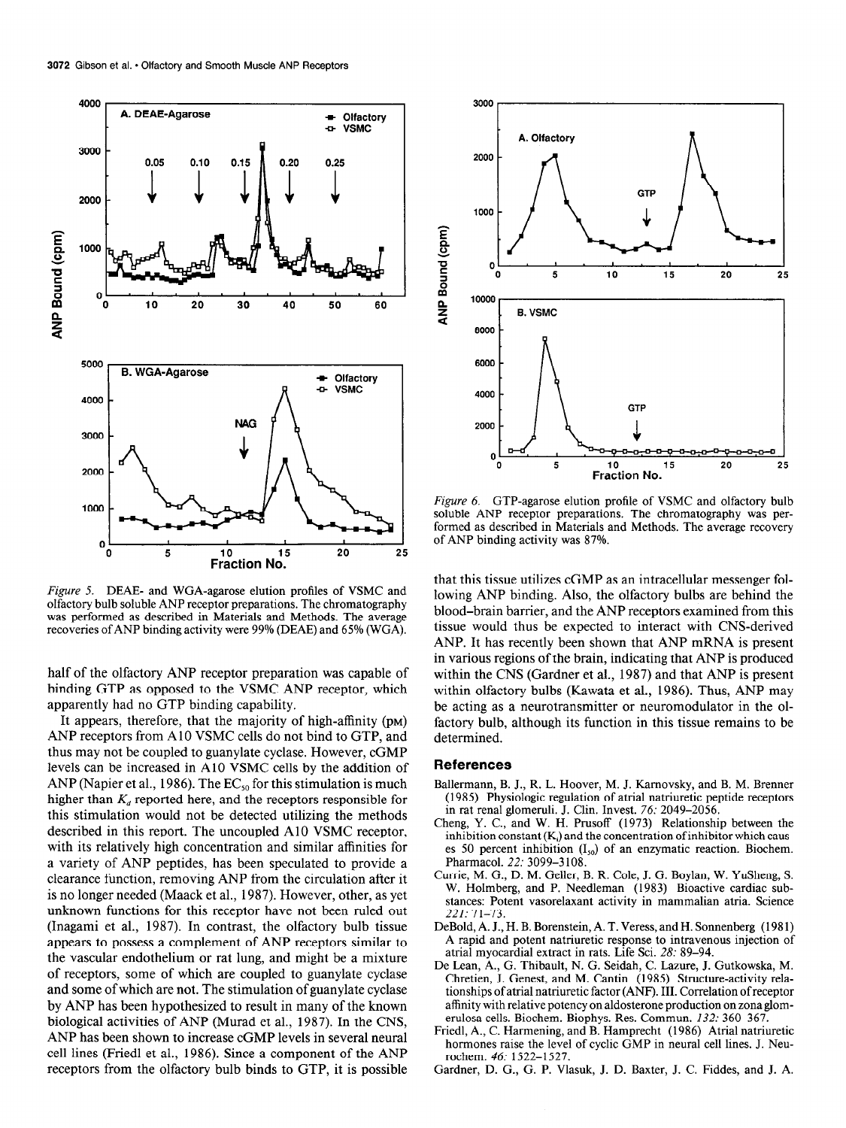

Figure 5. DEAE- and WGA-agarose elution profiles of VSMC and olfactory bulb soluble ANP receptor preparations. The chromatography was performed as described in Materials and Methods. The average recoveries of ANP binding activity were 99% (DEAE) and 65% (WGA).

half of the olfactory ANP receptor preparation was capable of binding GTP as opposed to the VSMC ANP receptor, which apparently had no GTP binding capability.

It appears, therefore, that the majority of high-affinity (PM) ANP receptors from A 10 VSMC cells do not bind to GTP, and  $t_{\text{H}}$  thus may not be coupled to guanger the cyclase. However, contract to general the contract of  $\Omega$ levels can be increased in A10 VSMC cells by the addition of AND (Napier et al., 1986). The EC, for this stimulation is much at the stimulation is much at the stimulation is much at the stimulation is much at the stimulation is much at the stimulation is much at the stimulation is m ANP (Napier et al., 1986). The  $EC_{50}$  for this stimulation is much higher than  $K_d$  reported here, and the receptors responsible for this stimulation would not be detected utilizing the methods described in this report. The uncoupled A10 VSMC receptor, with its relatively high concentration and similar affinities for a variety of ANP peptides, has been speculated to provide a clearance function, removing ANP from the circulation after it is no longer needed (Maack et al., 1987). However, other, as yet unknown functions for this receptor have not been ruled out (Inagami et al., 1987). In contrast, the olfactory bulb tissue appears to possess a complement of ANP receptors similar to the vascular endothelium or rat lung, and might be a mixture of receptors, some of which are coupled to guanylate cyclase and some of which are not. The stimulation of guany late cyclase by ANP has been hypothesized to result in many of the known biological activities of ANP (Murad et al., 1987). In the CNS, ANP has been shown to increase cGMP levels in several neural cell lines (Friedl et al., 1986). Since a component of the ANP receptors from the olfactory bulb binds to GTP, it is possible



Figure 6. GTP-agarose elution profile of VSMC and olfactory bulb soluble ANP receptor preparations. The chromatography was performed as described in Materials and Methods. The average recovery of ANP binding activity was 87%.

that this tissue utilizes cGMP as an intracellular messenger following ANP binding. Also, the olfactory bulbs are behind the blood-brain barrier, and the ANP receptors examined from this tissue would thus be expected to interact with CNS-derived ANP. It has recently been shown that ANP mRNA is present in various regions of the brain, indicating that ANP is produced m various regions of the brain, mulcating that ANP is produced within the CNS (Galuner et al., 1987) and that ANE is present<br>within allegtons bulbs (Kawata et al., 1986). Thus, AND may within olfactory bulbs (Kawata et al., 1986). Thus, ANP may be acting as a neurotransmitter or neuromodulator in the olfactory bulb, although its function in this tissue remains to be dettory built,

#### References

- Ballermann, B. J., R. L. Hoover, M. J. Kamovsky, and B. M. Brenner  $\mu$ ermann, B. J., K. L. Hoover, M. J. Karnovsky, and B. M. Brenner (1985) Physiologic regulation of atrial natriuretic peptide receptors in rat renal glomeruli. J. Clin. Invest. 76: 2049–2056.
- Cheng, Y. C., and W. H. Prusoff (1973) Relationship between the inhibition constant  $(K_i)$  and the concentration of inhibitor which causes 50 percent inhibition  $(I_{50})$  of an enzymatic reaction. Biochem.<br>Pharmacol. 22: 3099-3108. Pharmacol.  $22: 3099 - 3108$ .
- IFTIE, M. G., D. M. Geller, B. R. Cole, J. G. Boylan, W. Yu $\overline{\text{m}}$  and  $\overline{\text{s}}$ W. Holmberg, and P. Needleman (1983) Bioactive cardiac substances: Potent vasorelaxant activity in mammalian atria. Science  $221: 71 - 73$
- DeBold, A. J., H. B. Borenstein, A. T. Veress, and H. Sonnenberg (1981) A rapid and potent natriuretic response to intravenous injection of atrial myocardial extract in rats. Life Sci. 28: 89-94.
- De Lean, A., G. Thibault, N. G. Seidah, C. Lazure, J. Gutkowska, M. Chretien, J. Genest, and M. Cantin (1985) Structure-activity relationships of atrial natriuretic factor (ANF). III. Correlation of receptor affinity with relative potency on aldosterone production on zona glomerulosa cells. Biochem. Biophys. Res. Commun. 132: 360-367.
- Friedl, A., C. Harmening, and B. Hamprecht (1986) Atrial natriuretic hormones raise the level of cyclic GMP in neural cell lines. J. Neu-Gardner, D. G., G. P. Vlasuk, J. D. Baxter, J. C. Fiddes, and J. A.
-